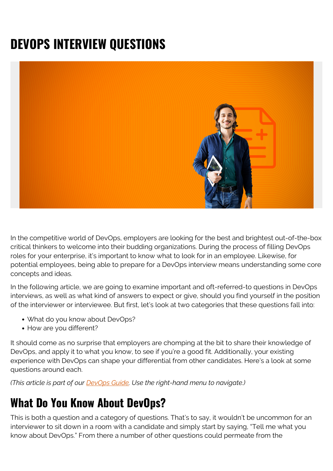# **DEVOPS INTERVIEW QUESTIONS**



In the competitive world of DevOps, employers are looking for the best and brightest out-of-the-box critical thinkers to welcome into their budding organizations. During the process of filling DevOps roles for your enterprise, it's important to know what to look for in an employee. Likewise, for potential employees, being able to prepare for a DevOps interview means understanding some core concepts and ideas.

In the following article, we are going to examine important and oft-referred-to questions in DevOps interviews, as well as what kind of answers to expect or give, should you find yourself in the position of the interviewer or interviewee. But first, let's look at two categories that these questions fall into:

- What do you know about DevOps?
- How are you different?

It should come as no surprise that employers are chomping at the bit to share their knowledge of DevOps, and apply it to what you know, to see if you're a good fit. Additionally, your existing experience with DevOps can shape your differential from other candidates. Here's a look at some questions around each.

*(This article is part of our [DevOps Guide](https://blogs.bmc.com/blogs/devops-basics-introduction/). Use the right-hand menu to navigate.)*

## **What Do You Know About DevOps?**

This is both a question and a category of questions. That's to say, it wouldn't be uncommon for an interviewer to sit down in a room with a candidate and simply start by saying, "Tell me what you know about DevOps." From there a number of other questions could permeate from the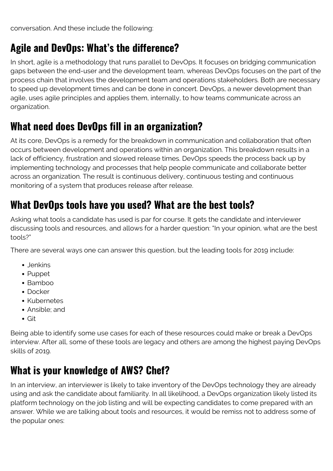conversation. And these include the following:

#### **Agile and DevOps: What's the difference?**

In short, agile is a methodology that runs parallel to DevOps. It focuses on bridging communication gaps between the end-user and the development team, whereas DevOps focuses on the part of the process chain that involves the development team and operations stakeholders. Both are necessary to speed up development times and can be done in concert. DevOps, a newer development than agile, uses agile principles and applies them, internally, to how teams communicate across an organization.

#### **What need does DevOps fill in an organization?**

At its core, DevOps is a remedy for the breakdown in communication and collaboration that often occurs between development and operations within an organization. This breakdown results in a lack of efficiency, frustration and slowed release times. DevOps speeds the process back up by implementing technology and processes that help people communicate and collaborate better across an organization. The result is continuous delivery, continuous testing and continuous monitoring of a system that produces release after release.

#### **What DevOps tools have you used? What are the best tools?**

Asking what tools a candidate has used is par for course. It gets the candidate and interviewer discussing tools and resources, and allows for a harder question: "In your opinion, what are the best tools?"

There are several ways one can answer this question, but the leading tools for 2019 include:

- Jenkins
- Puppet
- Bamboo
- Docker
- Kubernetes
- Ansible; and
- Git

Being able to identify some use cases for each of these resources could make or break a DevOps interview. After all, some of these tools are legacy and others are among the highest paying DevOps skills of 2019.

## **What is your knowledge of AWS? Chef?**

In an interview, an interviewer is likely to take inventory of the DevOps technology they are already using and ask the candidate about familiarity. In all likelihood, a DevOps organization likely listed its platform technology on the job listing and will be expecting candidates to come prepared with an answer. While we are talking about tools and resources, it would be remiss not to address some of the popular ones: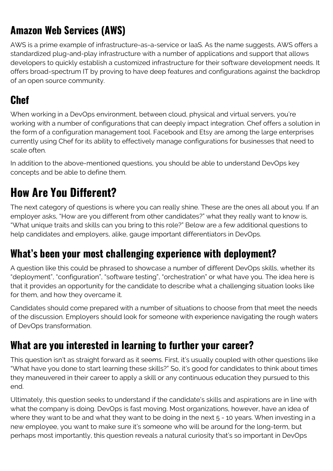## **Amazon Web Services (AWS)**

AWS is a prime example of infrastructure-as-a-service or IaaS. As the name suggests, AWS offers a standardized plug-and-play infrastructure with a number of applications and support that allows developers to quickly establish a customized infrastructure for their software development needs. It offers broad-spectrum IT by proving to have deep features and configurations against the backdrop of an open source community.

#### **Chef**

When working in a DevOps environment, between cloud, physical and virtual servers, you're working with a number of configurations that can deeply impact integration. Chef offers a solution in the form of a configuration management tool. Facebook and Etsy are among the large enterprises currently using Chef for its ability to effectively manage configurations for businesses that need to scale often.

In addition to the above-mentioned questions, you should be able to understand DevOps key concepts and be able to define them.

# **How Are You Different?**

The next category of questions is where you can really shine. These are the ones all about you. If an employer asks, "How are you different from other candidates?" what they really want to know is, "What unique traits and skills can you bring to this role?" Below are a few additional questions to help candidates and employers, alike, gauge important differentiators in DevOps.

#### **What's been your most challenging experience with deployment?**

A question like this could be phrased to showcase a number of different DevOps skills, whether its "deployment", "configuration", "software testing", "orchestration" or what have you. The idea here is that it provides an opportunity for the candidate to describe what a challenging situation looks like for them, and how they overcame it.

Candidates should come prepared with a number of situations to choose from that meet the needs of the discussion. Employers should look for someone with experience navigating the rough waters of DevOps transformation.

## **What are you interested in learning to further your career?**

This question isn't as straight forward as it seems. First, it's usually coupled with other questions like "What have you done to start learning these skills?" So, it's good for candidates to think about times they maneuvered in their career to apply a skill or any continuous education they pursued to this end.

Ultimately, this question seeks to understand if the candidate's skills and aspirations are in line with what the company is doing. DevOps is fast moving. Most organizations, however, have an idea of where they want to be and what they want to be doing in the next 5 - 10 years. When investing in a new employee, you want to make sure it's someone who will be around for the long-term, but perhaps most importantly, this question reveals a natural curiosity that's so important in DevOps